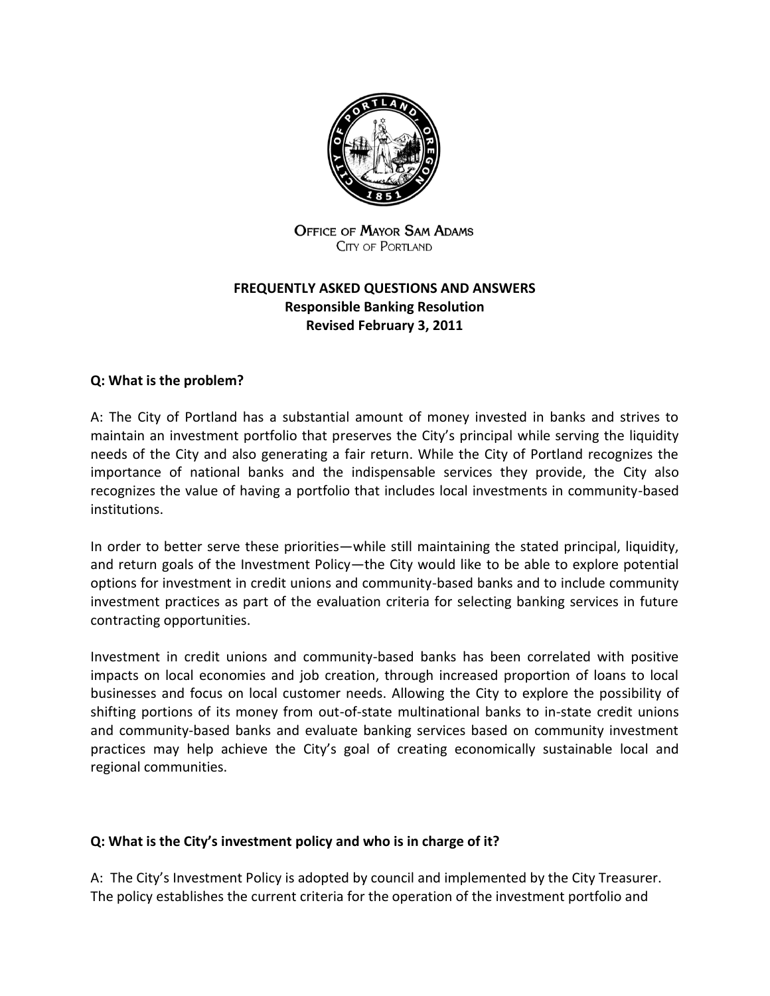

**OFFICE OF MAYOR SAM ADAMS CITY OF PORTLAND** 

# **FREQUENTLY ASKED QUESTIONS AND ANSWERS Responsible Banking Resolution Revised February 3, 2011**

# **Q: What is the problem?**

A: The City of Portland has a substantial amount of money invested in banks and strives to maintain an investment portfolio that preserves the City's principal while serving the liquidity needs of the City and also generating a fair return. While the City of Portland recognizes the importance of national banks and the indispensable services they provide, the City also recognizes the value of having a portfolio that includes local investments in community-based institutions.

In order to better serve these priorities—while still maintaining the stated principal, liquidity, and return goals of the Investment Policy—the City would like to be able to explore potential options for investment in credit unions and community-based banks and to include community investment practices as part of the evaluation criteria for selecting banking services in future contracting opportunities.

Investment in credit unions and community-based banks has been correlated with positive impacts on local economies and job creation, through increased proportion of loans to local businesses and focus on local customer needs. Allowing the City to explore the possibility of shifting portions of its money from out-of-state multinational banks to in-state credit unions and community-based banks and evaluate banking services based on community investment practices may help achieve the City's goal of creating economically sustainable local and regional communities.

#### **Q: What is the City's investment policy and who is in charge of it?**

A: The City's Investment Policy is adopted by council and implemented by the City Treasurer. The policy establishes the current criteria for the operation of the investment portfolio and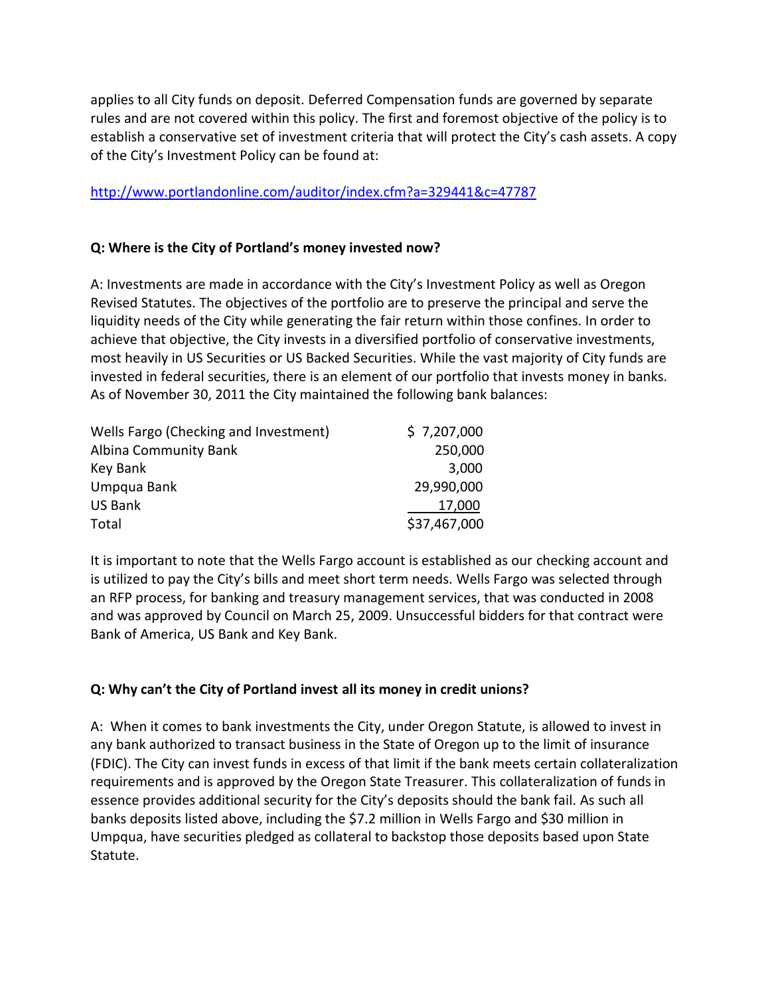applies to all City funds on deposit. Deferred Compensation funds are governed by separate rules and are not covered within this policy. The first and foremost objective of the policy is to establish a conservative set of investment criteria that will protect the City's cash assets. A copy of the City's Investment Policy can be found at:

## <http://www.portlandonline.com/auditor/index.cfm?a=329441&c=47787>

### **Q: Where is the City of Portland's money invested now?**

A: Investments are made in accordance with the City's Investment Policy as well as Oregon Revised Statutes. The objectives of the portfolio are to preserve the principal and serve the liquidity needs of the City while generating the fair return within those confines. In order to achieve that objective, the City invests in a diversified portfolio of conservative investments, most heavily in US Securities or US Backed Securities. While the vast majority of City funds are invested in federal securities, there is an element of our portfolio that invests money in banks. As of November 30, 2011 the City maintained the following bank balances:

| Wells Fargo (Checking and Investment) | \$7,207,000  |
|---------------------------------------|--------------|
| Albina Community Bank                 | 250,000      |
| Key Bank                              | 3,000        |
| Umpqua Bank                           | 29,990,000   |
| <b>US Bank</b>                        | 17,000       |
| Total                                 | \$37,467,000 |

It is important to note that the Wells Fargo account is established as our checking account and is utilized to pay the City's bills and meet short term needs. Wells Fargo was selected through an RFP process, for banking and treasury management services, that was conducted in 2008 and was approved by Council on March 25, 2009. Unsuccessful bidders for that contract were Bank of America, US Bank and Key Bank.

# **Q: Why can't the City of Portland invest all its money in credit unions?**

A: When it comes to bank investments the City, under Oregon Statute, is allowed to invest in any bank authorized to transact business in the State of Oregon up to the limit of insurance (FDIC). The City can invest funds in excess of that limit if the bank meets certain collateralization requirements and is approved by the Oregon State Treasurer. This collateralization of funds in essence provides additional security for the City's deposits should the bank fail. As such all banks deposits listed above, including the \$7.2 million in Wells Fargo and \$30 million in Umpqua, have securities pledged as collateral to backstop those deposits based upon State Statute.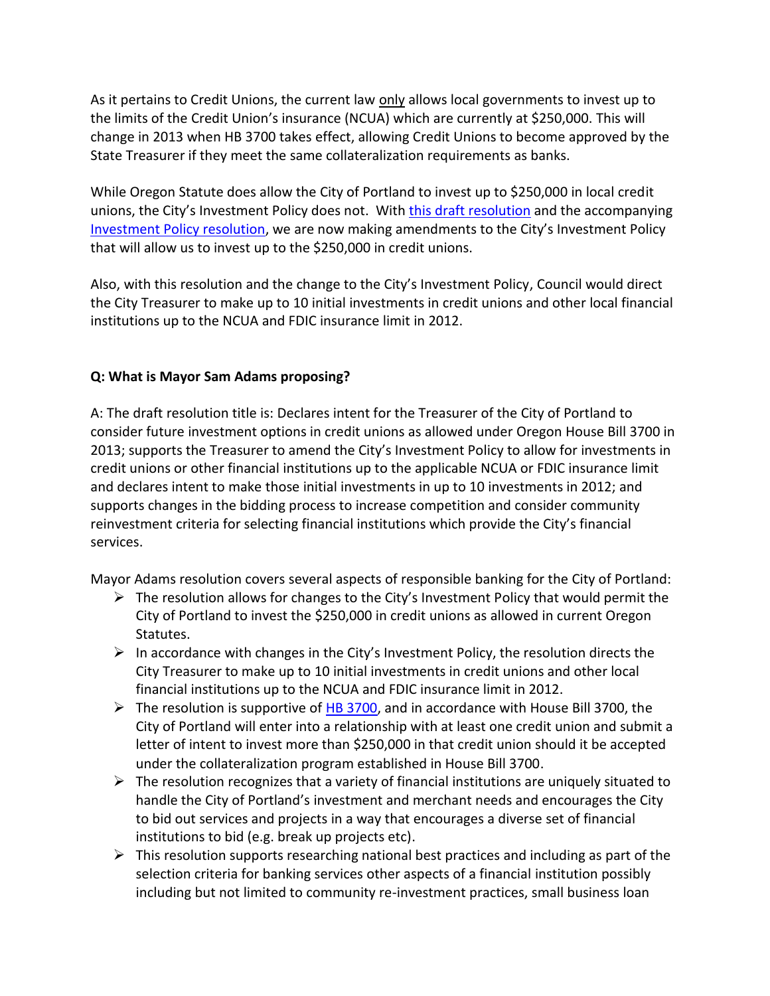As it pertains to Credit Unions, the current law only allows local governments to invest up to the limits of the Credit Union's insurance (NCUA) which are currently at \$250,000. This will change in 2013 when HB 3700 takes effect, allowing Credit Unions to become approved by the State Treasurer if they meet the same collateralization requirements as banks.

While Oregon Statute does allow the City of Portland to invest up to \$250,000 in local credit unions, the City's Investment Policy does not. With [this draft resolution](http://www.portlandonline.com/shared/cfm/image.cfm?id=384250) and the accompanying [Investment Policy resolution,](http://www.portlandonline.com/auditor/index.cfm?a=200869&c=47787) we are now making amendments to the City's Investment Policy that will allow us to invest up to the \$250,000 in credit unions.

Also, with this resolution and the change to the City's Investment Policy, Council would direct the City Treasurer to make up to 10 initial investments in credit unions and other local financial institutions up to the NCUA and FDIC insurance limit in 2012.

# **Q: What is Mayor Sam Adams proposing?**

A: The draft resolution title is: Declares intent for the Treasurer of the City of Portland to consider future investment options in credit unions as allowed under Oregon House Bill 3700 in 2013; supports the Treasurer to amend the City's Investment Policy to allow for investments in credit unions or other financial institutions up to the applicable NCUA or FDIC insurance limit and declares intent to make those initial investments in up to 10 investments in 2012; and supports changes in the bidding process to increase competition and consider community reinvestment criteria for selecting financial institutions which provide the City's financial services.

Mayor Adams resolution covers several aspects of responsible banking for the City of Portland:

- $\triangleright$  The resolution allows for changes to the City's Investment Policy that would permit the City of Portland to invest the \$250,000 in credit unions as allowed in current Oregon Statutes.
- $\triangleright$  In accordance with changes in the City's Investment Policy, the resolution directs the City Treasurer to make up to 10 initial investments in credit unions and other local financial institutions up to the NCUA and FDIC insurance limit in 2012.
- $\triangleright$  The resolution is supportive of [HB 3700,](http://gov.oregonlive.com/bill/2010/HB3700/) and in accordance with House Bill 3700, the City of Portland will enter into a relationship with at least one credit union and submit a letter of intent to invest more than \$250,000 in that credit union should it be accepted under the collateralization program established in House Bill 3700.
- $\triangleright$  The resolution recognizes that a variety of financial institutions are uniquely situated to handle the City of Portland's investment and merchant needs and encourages the City to bid out services and projects in a way that encourages a diverse set of financial institutions to bid (e.g. break up projects etc).
- $\triangleright$  This resolution supports researching national best practices and including as part of the selection criteria for banking services other aspects of a financial institution possibly including but not limited to community re-investment practices, small business loan